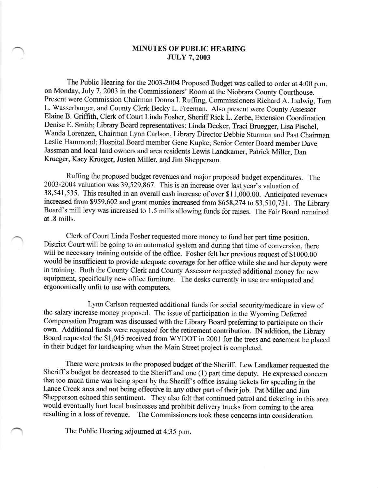## MINUTES OF PUBLIC HEARING JULY 7,2OO3

The Public Hearing for the 2003-2004 Proposed Budget was called to order at 4:00 p.m. on Monday, July 7, 2003 in the Commissioners' Room at the Niobrara County Courthouse. Present were commission chairman Donna I. Ruffing, commissioners Richard A. Ladwig, Tom L. wasserburger, and county clerk Becky L. Freeman. Also present were county Assessor Elaine B. Griffith, clerk of court Linda Fosher, sheriff Rick L. Zerbe, Extension coordination Denise E. Smith; Library Board representatives: Linda Decker, Traci Bruegger, Lisa Pischel, wanda Lorenzen, chairman Lynn carlson, Library Director Debbie Sturman and past chairman Leslie Hammond; Hospital Board member Gene Kupke; senior center Board member Dave Jassman and local land owners and area residents Lewis Landkamer, Patrick Miller, Dan Krueger, Kacy Krueger, Justen Miller, and Jim Shepperson.

Ruffrng the proposed budget revenues and major proposed budget expenditures. The 2003-2004 valuation was 39,529,867. This is an increase over last year's valuation of 38,541,535. This resulted in an overall cash increase of over \$11,000.00. Anticipated revenues increased from \$959,602 and grant monies increased from \$658,274 to \$3,510,731. The Library Board's mill levy was increased to 1.5 mills allowing funds for raises. The Fair Board remained at .8 mills.

Clerk of Court Linda Fosher requested more money to fund her part time position. District Court will be going to an automated system and during that time of conversion, there will be necessary training outside of the office. Fosher felt her previous request of \$1000.00 would be insufficient to provide adequate coverage for her office while she and her deputy were in training. Both the county clerk and county Assessor requested additional money for new equipment, specifically new office fumiture. The desks currently in use are antiquated and ergonomically unfit to use with computers.

Lynn Carlson requested additional funds for social security/medicare in view of the salary increase money proposed. The issue of participation in the wyoming Defened Compensation Program was discussed with the Library Board preferring to participate on their own. Additional funds were requested for the retirement contribution. IN addition, the Library Board requested the \$1,045 received from wYDor in 2001 for the trees and easement be placed in their budget for landscaping when the Main Street project is completed.

There were protests to the proposed budget of the Sheriff. Lew Landkamer requested the Sheriff's budget be decreased to the Sheriff and one (1) part time deputy. He expressed concern that too much time was being spent by the Sheriff's office issuing tickets for speeding in the Lance Creek area and not being effective in any other part of their job. Pat Miller and Jim Shepperson echoed this sentiment. They also felt that continued patrol and ticketing in this area would eventually hurt local businesses and prohibit delivery trucks from coming to the area resulting in a loss of revenue. The Commissioners took these concerns into consideration.

The Public Hearing adjoumed at 4:35 p.m.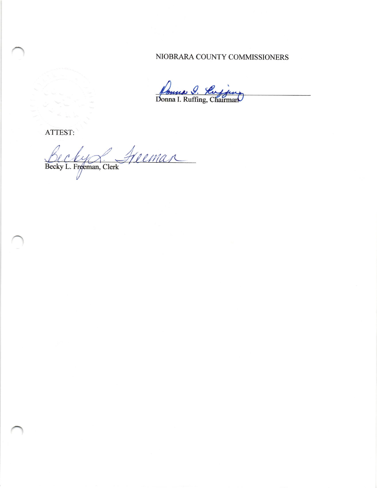## NIOBRARA COUNTY COMMISSIONERS

Jours J. Ruffing

ATTEST:

Becky L. Freeman, Clerk